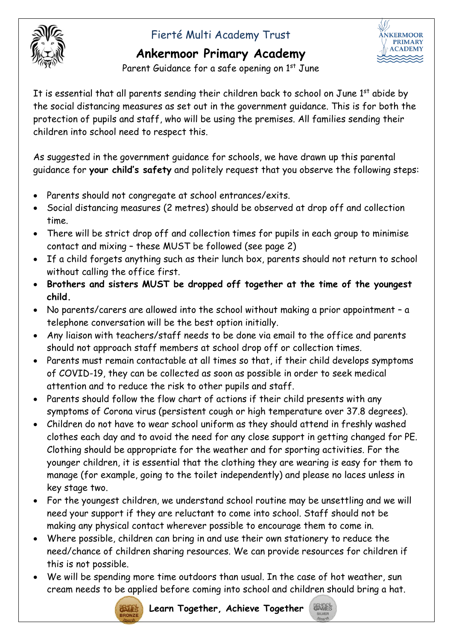## Fierté Multi Academy Trust

## **Ankermoor Primary Academy**



Parent Guidance for a safe opening on 1<sup>st</sup> June

It is essential that all parents sending their children back to school on June  $1<sup>st</sup>$  abide by the social distancing measures as set out in the government guidance. This is for both the protection of pupils and staff, who will be using the premises. All families sending their children into school need to respect this.

As suggested in the government guidance for schools, we have drawn up this parental guidance for **your child's safety** and politely request that you observe the following steps:

- Parents should not congregate at school entrances/exits.
- Social distancing measures (2 metres) should be observed at drop off and collection time.
- There will be strict drop off and collection times for pupils in each group to minimise contact and mixing – these MUST be followed (see page 2)
- If a child forgets anything such as their lunch box, parents should not return to school without calling the office first.
- **Brothers and sisters MUST be dropped off together at the time of the youngest child.**
- No parents/carers are allowed into the school without making a prior appointment a telephone conversation will be the best option initially.
- Any liaison with teachers/staff needs to be done via email to the office and parents should not approach staff members at school drop off or collection times.
- Parents must remain contactable at all times so that, if their child develops symptoms of COVID-19, they can be collected as soon as possible in order to seek medical attention and to reduce the risk to other pupils and staff.
- Parents should follow the flow chart of actions if their child presents with any symptoms of Corona virus (persistent cough or high temperature over 37.8 degrees).
- Children do not have to wear school uniform as they should attend in freshly washed clothes each day and to avoid the need for any close support in getting changed for PE. Clothing should be appropriate for the weather and for sporting activities. For the younger children, it is essential that the clothing they are wearing is easy for them to manage (for example, going to the toilet independently) and please no laces unless in key stage two.
- For the youngest children, we understand school routine may be unsettling and we will need your support if they are reluctant to come into school. Staff should not be making any physical contact wherever possible to encourage them to come in.
- Where possible, children can bring in and use their own stationery to reduce the need/chance of children sharing resources. We can provide resources for children if this is not possible.
- We will be spending more time outdoors than usual. In the case of hot weather, sun cream needs to be applied before coming into school and children should bring a hat.



**Learn Together, Achieve Together** *<u>SAMES</u>*